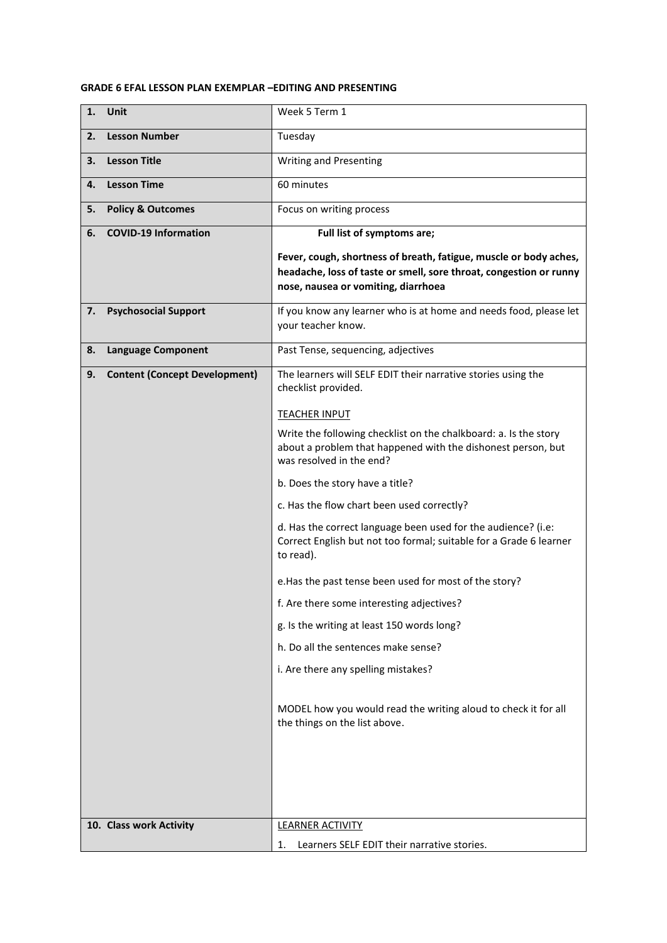## **GRADE 6 EFAL LESSON PLAN EXEMPLAR –EDITING AND PRESENTING**

| 1. | <b>Unit</b>                          | Week 5 Term 1                                                                                                                                                                  |
|----|--------------------------------------|--------------------------------------------------------------------------------------------------------------------------------------------------------------------------------|
| 2. | <b>Lesson Number</b>                 | Tuesday                                                                                                                                                                        |
| 3. | <b>Lesson Title</b>                  | Writing and Presenting                                                                                                                                                         |
| 4. | <b>Lesson Time</b>                   | 60 minutes                                                                                                                                                                     |
| 5. | <b>Policy &amp; Outcomes</b>         | Focus on writing process                                                                                                                                                       |
| 6. | <b>COVID-19 Information</b>          | Full list of symptoms are;                                                                                                                                                     |
|    |                                      | Fever, cough, shortness of breath, fatigue, muscle or body aches,<br>headache, loss of taste or smell, sore throat, congestion or runny<br>nose, nausea or vomiting, diarrhoea |
| 7. | <b>Psychosocial Support</b>          | If you know any learner who is at home and needs food, please let<br>your teacher know.                                                                                        |
| 8. | <b>Language Component</b>            | Past Tense, sequencing, adjectives                                                                                                                                             |
| 9. | <b>Content (Concept Development)</b> | The learners will SELF EDIT their narrative stories using the<br>checklist provided.                                                                                           |
|    |                                      | <b>TEACHER INPUT</b>                                                                                                                                                           |
|    |                                      | Write the following checklist on the chalkboard: a. Is the story<br>about a problem that happened with the dishonest person, but<br>was resolved in the end?                   |
|    |                                      | b. Does the story have a title?                                                                                                                                                |
|    |                                      | c. Has the flow chart been used correctly?                                                                                                                                     |
|    |                                      | d. Has the correct language been used for the audience? (i.e:<br>Correct English but not too formal; suitable for a Grade 6 learner<br>to read).                               |
|    |                                      | e. Has the past tense been used for most of the story?                                                                                                                         |
|    |                                      | f. Are there some interesting adjectives?                                                                                                                                      |
|    |                                      | g. Is the writing at least 150 words long?                                                                                                                                     |
|    |                                      | h. Do all the sentences make sense?                                                                                                                                            |
|    |                                      | i. Are there any spelling mistakes?                                                                                                                                            |
|    |                                      | MODEL how you would read the writing aloud to check it for all<br>the things on the list above.                                                                                |
|    |                                      |                                                                                                                                                                                |
|    |                                      |                                                                                                                                                                                |
|    | 10. Class work Activity              | <b>LEARNER ACTIVITY</b>                                                                                                                                                        |
|    |                                      | Learners SELF EDIT their narrative stories.<br>1.                                                                                                                              |